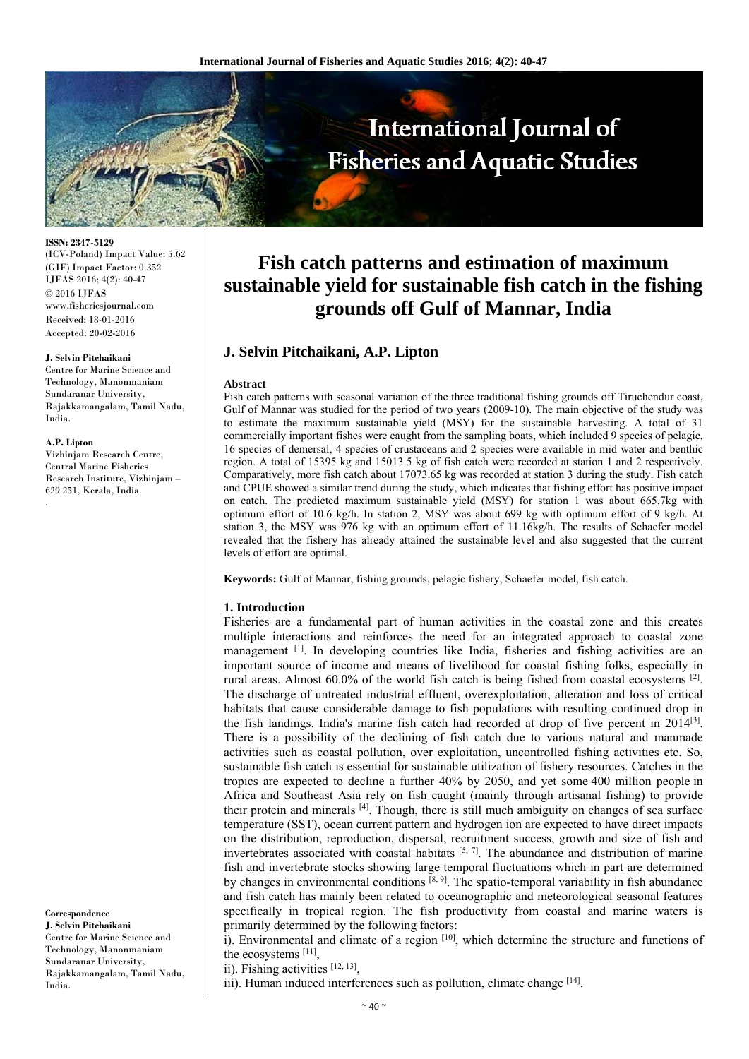

**ISSN: 2347-5129**  (ICV-Poland) Impact Value: 5.62 (GIF) Impact Factor: 0.352 IJFAS 2016; 4(2): 40-47 © 2016 IJFAS www.fisheriesjournal.com Received: 18-01-2016 Accepted: 20-02-2016

#### **J. Selvin Pitchaikani**

Centre for Marine Science and Technology, Manonmaniam Sundaranar University, Rajakkamangalam, Tamil Nadu, India.

#### **A.P. Lipton**

Vizhinjam Research Centre, Central Marine Fisheries Research Institute, Vizhinjam – 629 251, Kerala, India. .

**Correspondence J. Selvin Pitchaikani**  Centre for Marine Science and Technology, Manonmaniam Sundaranar University, Rajakkamangalam, Tamil Nadu, India.

# **Fish catch patterns and estimation of maximum sustainable yield for sustainable fish catch in the fishing grounds off Gulf of Mannar, India**

## **J. Selvin Pitchaikani, A.P. Lipton**

#### **Abstract**

Fish catch patterns with seasonal variation of the three traditional fishing grounds off Tiruchendur coast, Gulf of Mannar was studied for the period of two years (2009-10). The main objective of the study was to estimate the maximum sustainable yield (MSY) for the sustainable harvesting. A total of 31 commercially important fishes were caught from the sampling boats, which included 9 species of pelagic, 16 species of demersal, 4 species of crustaceans and 2 species were available in mid water and benthic region. A total of 15395 kg and 15013.5 kg of fish catch were recorded at station 1 and 2 respectively. Comparatively, more fish catch about 17073.65 kg was recorded at station 3 during the study. Fish catch and CPUE showed a similar trend during the study, which indicates that fishing effort has positive impact on catch. The predicted maximum sustainable yield (MSY) for station 1 was about 665.7kg with optimum effort of 10.6 kg/h. In station 2, MSY was about 699 kg with optimum effort of 9 kg/h. At station 3, the MSY was 976 kg with an optimum effort of 11.16kg/h. The results of Schaefer model revealed that the fishery has already attained the sustainable level and also suggested that the current levels of effort are optimal.

**Keywords:** Gulf of Mannar, fishing grounds, pelagic fishery, Schaefer model, fish catch.

#### **1. Introduction**

Fisheries are a fundamental part of human activities in the coastal zone and this creates multiple interactions and reinforces the need for an integrated approach to coastal zone management [1]. In developing countries like India, fisheries and fishing activities are an important source of income and means of livelihood for coastal fishing folks, especially in rural areas. Almost  $60.0\%$  of the world fish catch is being fished from coastal ecosystems  $^{[2]}$ . The discharge of untreated industrial effluent, overexploitation, alteration and loss of critical habitats that cause considerable damage to fish populations with resulting continued drop in the fish landings. India's marine fish catch had recorded at drop of five percent in  $2014^{[3]}$ . There is a possibility of the declining of fish catch due to various natural and manmade activities such as coastal pollution, over exploitation, uncontrolled fishing activities etc. So, sustainable fish catch is essential for sustainable utilization of fishery resources. Catches in the tropics are expected to decline a further 40% by 2050, and yet some 400 million people in Africa and Southeast Asia rely on fish caught (mainly through artisanal fishing) to provide their protein and minerals [4]. Though, there is still much ambiguity on changes of sea surface temperature (SST), ocean current pattern and hydrogen ion are expected to have direct impacts on the distribution, reproduction, dispersal, recruitment success, growth and size of fish and invertebrates associated with coastal habitats  $[5, 7]$ . The abundance and distribution of marine fish and invertebrate stocks showing large temporal fluctuations which in part are determined by changes in environmental conditions  $[8, 9]$ . The spatio-temporal variability in fish abundance and fish catch has mainly been related to oceanographic and meteorological seasonal features specifically in tropical region. The fish productivity from coastal and marine waters is primarily determined by the following factors:

i). Environmental and climate of a region  $\left[10\right]$ , which determine the structure and functions of the ecosystems [11],

ii). Fishing activities [12, 13],

iii). Human induced interferences such as pollution, climate change [14].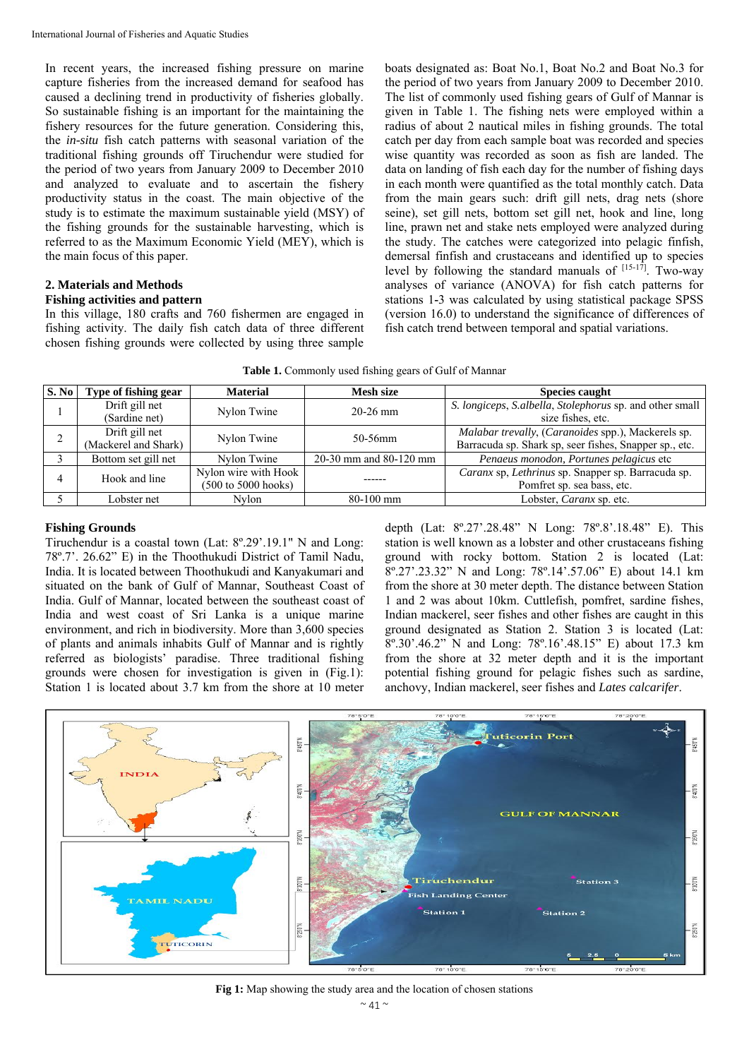In recent years, the increased fishing pressure on marine capture fisheries from the increased demand for seafood has caused a declining trend in productivity of fisheries globally. So sustainable fishing is an important for the maintaining the fishery resources for the future generation. Considering this, the *in-situ* fish catch patterns with seasonal variation of the traditional fishing grounds off Tiruchendur were studied for the period of two years from January 2009 to December 2010 and analyzed to evaluate and to ascertain the fishery productivity status in the coast. The main objective of the study is to estimate the maximum sustainable yield (MSY) of the fishing grounds for the sustainable harvesting, which is referred to as the Maximum Economic Yield (MEY), which is the main focus of this paper.

#### **2. Materials and Methods Fishing activities and pattern**

In this village, 180 crafts and 760 fishermen are engaged in fishing activity. The daily fish catch data of three different chosen fishing grounds were collected by using three sample

boats designated as: Boat No.1, Boat No.2 and Boat No.3 for the period of two years from January 2009 to December 2010. The list of commonly used fishing gears of Gulf of Mannar is given in Table 1. The fishing nets were employed within a radius of about 2 nautical miles in fishing grounds. The total catch per day from each sample boat was recorded and species wise quantity was recorded as soon as fish are landed. The data on landing of fish each day for the number of fishing days in each month were quantified as the total monthly catch. Data from the main gears such: drift gill nets, drag nets (shore seine), set gill nets, bottom set gill net, hook and line, long line, prawn net and stake nets employed were analyzed during the study. The catches were categorized into pelagic finfish, demersal finfish and crustaceans and identified up to species level by following the standard manuals of  $[15-17]$ . Two-way analyses of variance (ANOVA) for fish catch patterns for stations 1**-**3 was calculated by using statistical package SPSS (version 16.0) to understand the significance of differences of fish catch trend between temporal and spatial variations.

**Table 1.** Commonly used fishing gears of Gulf of Mannar

| S. No | Type of fishing gear | <b>Material</b>      | <b>Mesh size</b>       | <b>Species caught</b>                                    |
|-------|----------------------|----------------------|------------------------|----------------------------------------------------------|
|       | Drift gill net       | Nylon Twine          | $20-26$ mm             | S. longiceps, S.albella, Stolephorus sp. and other small |
|       | (Sardine net)        |                      |                        | size fishes, etc.                                        |
|       | Drift gill net       | Nylon Twine          | 50-56mm                | Malabar trevally, (Caranoides spp.), Mackerels sp.       |
|       | (Mackerel and Shark) |                      |                        | Barracuda sp. Shark sp, seer fishes, Snapper sp., etc.   |
|       | Bottom set gill net  | Nylon Twine          | 20-30 mm and 80-120 mm | Penaeus monodon, Portunes pelagicus etc                  |
|       | Hook and line        | Nylon wire with Hook |                        | Caranx sp, Lethrinus sp. Snapper sp. Barracuda sp.       |
|       |                      | (500 to 5000 hooks)  |                        | Pomfret sp. sea bass, etc.                               |
|       | Lobster net          | Nvlon                | $80-100$ mm            | Lobster, <i>Caranx</i> sp. etc.                          |

## **Fishing Grounds**

Tiruchendur is a coastal town (Lat: 8º.29'.19.1" N and Long: 78º.7'. 26.62" E) in the Thoothukudi District of Tamil Nadu, India. It is located between Thoothukudi and Kanyakumari and situated on the bank of Gulf of Mannar, Southeast Coast of India. Gulf of Mannar, located between the southeast coast of India and west coast of Sri Lanka is a unique marine environment, and rich in biodiversity. More than 3,600 species of plants and animals inhabits Gulf of Mannar and is rightly referred as biologists' paradise. Three traditional fishing grounds were chosen for investigation is given in (Fig.1): Station 1 is located about 3.7 km from the shore at 10 meter

depth (Lat: 8º.27'.28.48" N Long: 78º.8'.18.48" E). This station is well known as a lobster and other crustaceans fishing ground with rocky bottom. Station 2 is located (Lat: 8º.27'.23.32" N and Long: 78º.14'.57.06" E) about 14.1 km from the shore at 30 meter depth. The distance between Station 1 and 2 was about 10km. Cuttlefish, pomfret, sardine fishes, Indian mackerel, seer fishes and other fishes are caught in this ground designated as Station 2. Station 3 is located (Lat: 8º.30'.46.2" N and Long: 78º.16'.48.15" E) about 17.3 km from the shore at 32 meter depth and it is the important potential fishing ground for pelagic fishes such as sardine, anchovy, Indian mackerel, seer fishes and *Lates calcarifer*.



**Fig 1:** Map showing the study area and the location of chosen stations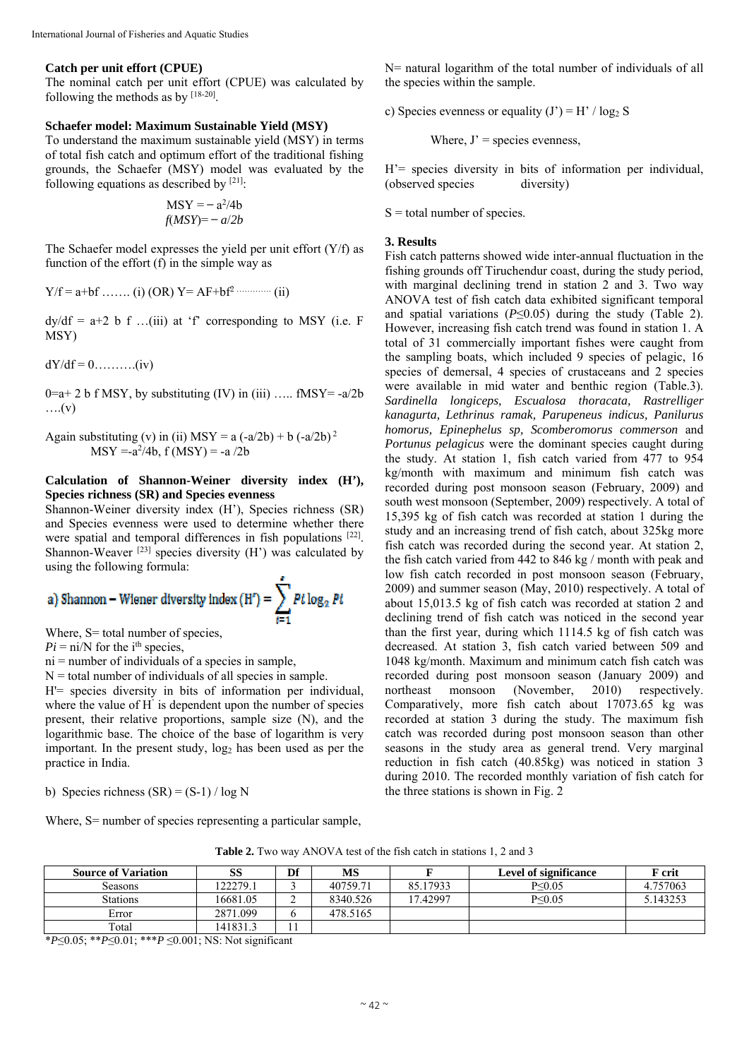### **Catch per unit effort (CPUE)**

The nominal catch per unit effort (CPUE) was calculated by following the methods as by [18-20].

#### **Schaefer model: Maximum Sustainable Yield (MSY)**

To understand the maximum sustainable yield (MSY) in terms of total fish catch and optimum effort of the traditional fishing grounds, the Schaefer (MSY) model was evaluated by the following equations as described by  $[21]$ :

$$
MSY = -a^2/4b
$$

$$
f(MSY) = -a/2b
$$

The Schaefer model expresses the yield per unit effort  $(Y/f)$  as function of the effort (f) in the simple way as

$$
Y/f = a + bf
$$
 ....... (i) (OR)  $Y = AF + bf^2$  ....... (ii)

 $dy/df = a+2 b f$  ...(iii) at 'f' corresponding to MSY (i.e. F MSY)

 $dY/df = 0$ ..........(iv)

 $0=a+2$  b f MSY, by substituting (IV) in (iii) ….. fMSY=-a/2b  $\dots(v)$ 

Again substituting (v) in (ii) MSY =  $a(-a/2b) + b(-a/2b)^2$  $MSY = -a^2/4b$ ,  $f(MSY) = -a/2b$ 

## **Calculation of Shannon-Weiner diversity index (H'), Species richness (SR) and Species evenness**

Shannon-Weiner diversity index (H'), Species richness (SR) and Species evenness were used to determine whether there were spatial and temporal differences in fish populations [22]. Shannon-Weaver  $[23]$  species diversity (H') was calculated by using the following formula:

a) Shannon – Wiener diversity index (H') = 
$$
\sum_{t=1} P t \log_2 P t
$$

Where, S = total number of species,

 $Pi = \text{ni/N}$  for the i<sup>th</sup> species,

 $ni = number of individuals of a species in sample,$ 

 $N =$  total number of individuals of all species in sample.

H'= species diversity in bits of information per individual, where the value of H' is dependent upon the number of species present, their relative proportions, sample size (N), and the logarithmic base. The choice of the base of logarithm is very important. In the present study,  $log<sub>2</sub>$  has been used as per the practice in India.

b) Species richness  $(SR) = (S-1)/\log N$ 

Where, S= number of species representing a particular sample,

N= natural logarithm of the total number of individuals of all the species within the sample.

c) Species evenness or equality  $(J') = H' / log_2 S$ 

Where,  $J'$  = species evenness,

H'= species diversity in bits of information per individual, (observed species diversity)

 $S =$  total number of species.

#### **3. Results**

Fish catch patterns showed wide inter-annual fluctuation in the fishing grounds off Tiruchendur coast, during the study period, with marginal declining trend in station 2 and 3. Two way ANOVA test of fish catch data exhibited significant temporal and spatial variations (*P*≤0.05) during the study (Table 2). However, increasing fish catch trend was found in station 1. A total of 31 commercially important fishes were caught from the sampling boats, which included 9 species of pelagic, 16 species of demersal, 4 species of crustaceans and 2 species were available in mid water and benthic region (Table.3). *Sardinella longiceps, Escualosa thoracata, Rastrelliger kanagurta, Lethrinus ramak, Parupeneus indicus, Panilurus homorus, Epinephelus sp, Scomberomorus commerson* and *Portunus pelagicus* were the dominant species caught during the study. At station 1, fish catch varied from 477 to 954 kg/month with maximum and minimum fish catch was recorded during post monsoon season (February, 2009) and south west monsoon (September, 2009) respectively. A total of 15,395 kg of fish catch was recorded at station 1 during the study and an increasing trend of fish catch, about 325kg more fish catch was recorded during the second year. At station 2, the fish catch varied from 442 to 846 kg / month with peak and low fish catch recorded in post monsoon season (February, 2009) and summer season (May, 2010) respectively. A total of about 15,013.5 kg of fish catch was recorded at station 2 and declining trend of fish catch was noticed in the second year than the first year, during which 1114.5 kg of fish catch was decreased. At station 3, fish catch varied between 509 and 1048 kg/month. Maximum and minimum catch fish catch was recorded during post monsoon season (January 2009) and northeast monsoon (November, 2010) respectively. Comparatively, more fish catch about 17073.65 kg was recorded at station 3 during the study. The maximum fish catch was recorded during post monsoon season than other seasons in the study area as general trend. Very marginal reduction in fish catch (40.85kg) was noticed in station 3 during 2010. The recorded monthly variation of fish catch for the three stations is shown in Fig. 2

**Table 2.** Two way ANOVA test of the fish catch in stations 1, 2 and 3

| <b>Source of Variation</b> | SS       | Df | <b>MS</b> |          | Level of significance | <b>F</b> crit |  |
|----------------------------|----------|----|-----------|----------|-----------------------|---------------|--|
|                            |          |    |           |          |                       |               |  |
| Seasons                    | 22279.1  |    | 40759.71  | 85.17933 | $P \leq 0.05$         | 4.757063      |  |
| <b>Stations</b>            | 16681.05 | ∠  | 8340.526  | 17.42997 | $P \le 0.05$          | 5.143253      |  |
| Error                      | 2871.099 |    | 478.5165  |          |                       |               |  |
| Total                      | 141831.3 |    |           |          |                       |               |  |

\**P*≤0.05; \*\**P*≤0.01; \*\*\**P* ≤0.001; NS: Not significant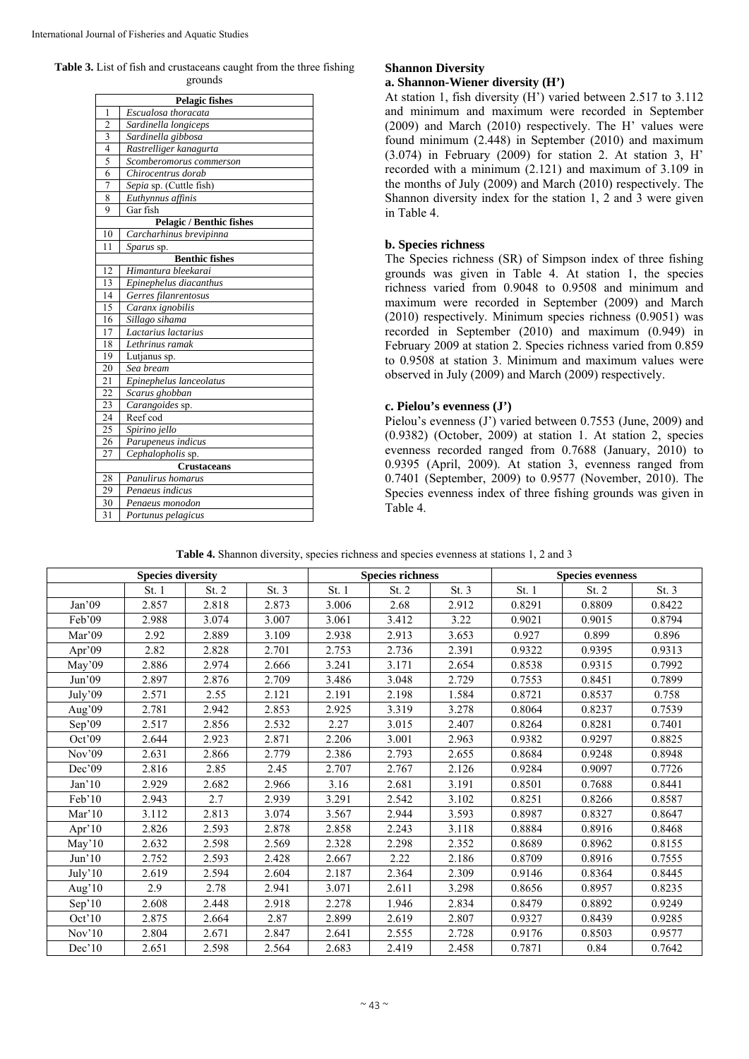**Table 3.** List of fish and crustaceans caught from the three fishing grounds

| <b>Pelagic fishes</b>                         |                                 |  |  |  |  |  |  |  |
|-----------------------------------------------|---------------------------------|--|--|--|--|--|--|--|
| 1                                             | Escualosa thoracata             |  |  |  |  |  |  |  |
| $\overline{2}$                                | Sardinella longiceps            |  |  |  |  |  |  |  |
| 3                                             | Sardinella gibbosa              |  |  |  |  |  |  |  |
| $\overline{4}$                                | Rastrelliger kanagurta          |  |  |  |  |  |  |  |
| 5                                             | Scomberomorus commerson         |  |  |  |  |  |  |  |
| 6                                             | Chirocentrus dorab              |  |  |  |  |  |  |  |
| 7                                             | Sepia sp. (Cuttle fish)         |  |  |  |  |  |  |  |
| 8                                             | Euthynnus affinis               |  |  |  |  |  |  |  |
| 9                                             | Gar fish                        |  |  |  |  |  |  |  |
|                                               | <b>Pelagic / Benthic fishes</b> |  |  |  |  |  |  |  |
| 10                                            | Carcharhinus brevipinna         |  |  |  |  |  |  |  |
| 11                                            | Sparus sp.                      |  |  |  |  |  |  |  |
|                                               | <b>Benthic fishes</b>           |  |  |  |  |  |  |  |
| 12                                            | Himantura bleekarai             |  |  |  |  |  |  |  |
| 13                                            | Epinephelus diacanthus          |  |  |  |  |  |  |  |
| 14                                            | Gerres filanrentosus            |  |  |  |  |  |  |  |
| 15                                            | Caranx ignobilis                |  |  |  |  |  |  |  |
| 16                                            | Sillago sihama                  |  |  |  |  |  |  |  |
| 17                                            | Lactarius lactarius             |  |  |  |  |  |  |  |
| 18                                            | Lethrinus ramak                 |  |  |  |  |  |  |  |
| 19                                            | Lutjanus sp.                    |  |  |  |  |  |  |  |
| 20                                            | Sea bream                       |  |  |  |  |  |  |  |
| 21                                            | Epinephelus lanceolatus         |  |  |  |  |  |  |  |
| 22                                            | Scarus ghobban                  |  |  |  |  |  |  |  |
| 23                                            | Carangoides sp.                 |  |  |  |  |  |  |  |
| 24<br>25                                      | Reef cod                        |  |  |  |  |  |  |  |
|                                               | Spirino jello                   |  |  |  |  |  |  |  |
| 26                                            | Parupeneus indicus              |  |  |  |  |  |  |  |
| 27<br>Cephalopholis sp.                       |                                 |  |  |  |  |  |  |  |
| <b>Crustaceans</b><br>28<br>Panulirus homarus |                                 |  |  |  |  |  |  |  |
| 29                                            | Penaeus indicus                 |  |  |  |  |  |  |  |
| 30                                            | Penaeus monodon                 |  |  |  |  |  |  |  |
| 31                                            |                                 |  |  |  |  |  |  |  |
|                                               | Portunus pelagicus              |  |  |  |  |  |  |  |

# **Shannon Diversity**

## **a. Shannon-Wiener diversity (H')**

At station 1, fish diversity (H') varied between 2.517 to 3.112 and minimum and maximum were recorded in September (2009) and March (2010) respectively. The H' values were found minimum (2.448) in September (2010) and maximum (3.074) in February (2009) for station 2. At station 3, H' recorded with a minimum (2.121) and maximum of 3.109 in the months of July (2009) and March (2010) respectively. The Shannon diversity index for the station 1, 2 and 3 were given in Table 4.

## **b. Species richness**

The Species richness (SR) of Simpson index of three fishing grounds was given in Table 4. At station 1, the species richness varied from 0.9048 to 0.9508 and minimum and maximum were recorded in September (2009) and March (2010) respectively. Minimum species richness (0.9051) was recorded in September (2010) and maximum (0.949) in February 2009 at station 2. Species richness varied from 0.859 to 0.9508 at station 3. Minimum and maximum values were observed in July (2009) and March (2009) respectively.

## **c. Pielou's evenness (J')**

Pielou's evenness (J') varied between 0.7553 (June, 2009) and (0.9382) (October, 2009) at station 1. At station 2, species evenness recorded ranged from 0.7688 (January, 2010) to 0.9395 (April, 2009). At station 3, evenness ranged from 0.7401 (September, 2009) to 0.9577 (November, 2010). The Species evenness index of three fishing grounds was given in Table 4.

**Table 4.** Shannon diversity, species richness and species evenness at stations 1, 2 and 3

| <b>Species diversity</b> |       |       |       | <b>Species richness</b> |       |       | <b>Species evenness</b> |        |        |
|--------------------------|-------|-------|-------|-------------------------|-------|-------|-------------------------|--------|--------|
|                          | St. 1 | St. 2 | St.3  | St. 1                   | St. 2 | St.3  | St. 1                   | St. 2  | St.3   |
| Jan'09                   | 2.857 | 2.818 | 2.873 | 3.006                   | 2.68  | 2.912 | 0.8291                  | 0.8809 | 0.8422 |
| Feb'09                   | 2.988 | 3.074 | 3.007 | 3.061                   | 3.412 | 3.22  | 0.9021                  | 0.9015 | 0.8794 |
| Mar' $09$                | 2.92  | 2.889 | 3.109 | 2.938                   | 2.913 | 3.653 | 0.927                   | 0.899  | 0.896  |
| Apr'09                   | 2.82  | 2.828 | 2.701 | 2.753                   | 2.736 | 2.391 | 0.9322                  | 0.9395 | 0.9313 |
| May'09                   | 2.886 | 2.974 | 2.666 | 3.241                   | 3.171 | 2.654 | 0.8538                  | 0.9315 | 0.7992 |
| Jun'09                   | 2.897 | 2.876 | 2.709 | 3.486                   | 3.048 | 2.729 | 0.7553                  | 0.8451 | 0.7899 |
| July'09                  | 2.571 | 2.55  | 2.121 | 2.191                   | 2.198 | 1.584 | 0.8721                  | 0.8537 | 0.758  |
| Aug'09                   | 2.781 | 2.942 | 2.853 | 2.925                   | 3.319 | 3.278 | 0.8064                  | 0.8237 | 0.7539 |
| Sep'09                   | 2.517 | 2.856 | 2.532 | 2.27                    | 3.015 | 2.407 | 0.8264                  | 0.8281 | 0.7401 |
| Oct'09                   | 2.644 | 2.923 | 2.871 | 2.206                   | 3.001 | 2.963 | 0.9382                  | 0.9297 | 0.8825 |
| Nov <sub>09</sub>        | 2.631 | 2.866 | 2.779 | 2.386                   | 2.793 | 2.655 | 0.8684                  | 0.9248 | 0.8948 |
| Dec'09                   | 2.816 | 2.85  | 2.45  | 2.707                   | 2.767 | 2.126 | 0.9284                  | 0.9097 | 0.7726 |
| Jan'10                   | 2.929 | 2.682 | 2.966 | 3.16                    | 2.681 | 3.191 | 0.8501                  | 0.7688 | 0.8441 |
| Feb'10                   | 2.943 | 2.7   | 2.939 | 3.291                   | 2.542 | 3.102 | 0.8251                  | 0.8266 | 0.8587 |
| Mar'10                   | 3.112 | 2.813 | 3.074 | 3.567                   | 2.944 | 3.593 | 0.8987                  | 0.8327 | 0.8647 |
| Apr' $10$                | 2.826 | 2.593 | 2.878 | 2.858                   | 2.243 | 3.118 | 0.8884                  | 0.8916 | 0.8468 |
| May'10                   | 2.632 | 2.598 | 2.569 | 2.328                   | 2.298 | 2.352 | 0.8689                  | 0.8962 | 0.8155 |
| Jun'10                   | 2.752 | 2.593 | 2.428 | 2.667                   | 2.22  | 2.186 | 0.8709                  | 0.8916 | 0.7555 |
| July'10                  | 2.619 | 2.594 | 2.604 | 2.187                   | 2.364 | 2.309 | 0.9146                  | 0.8364 | 0.8445 |
| Aug' $10$                | 2.9   | 2.78  | 2.941 | 3.071                   | 2.611 | 3.298 | 0.8656                  | 0.8957 | 0.8235 |
| Sep'10                   | 2.608 | 2.448 | 2.918 | 2.278                   | 1.946 | 2.834 | 0.8479                  | 0.8892 | 0.9249 |
| Oct'10                   | 2.875 | 2.664 | 2.87  | 2.899                   | 2.619 | 2.807 | 0.9327                  | 0.8439 | 0.9285 |
| Nov'10                   | 2.804 | 2.671 | 2.847 | 2.641                   | 2.555 | 2.728 | 0.9176                  | 0.8503 | 0.9577 |
| Dec'10                   | 2.651 | 2.598 | 2.564 | 2.683                   | 2.419 | 2.458 | 0.7871                  | 0.84   | 0.7642 |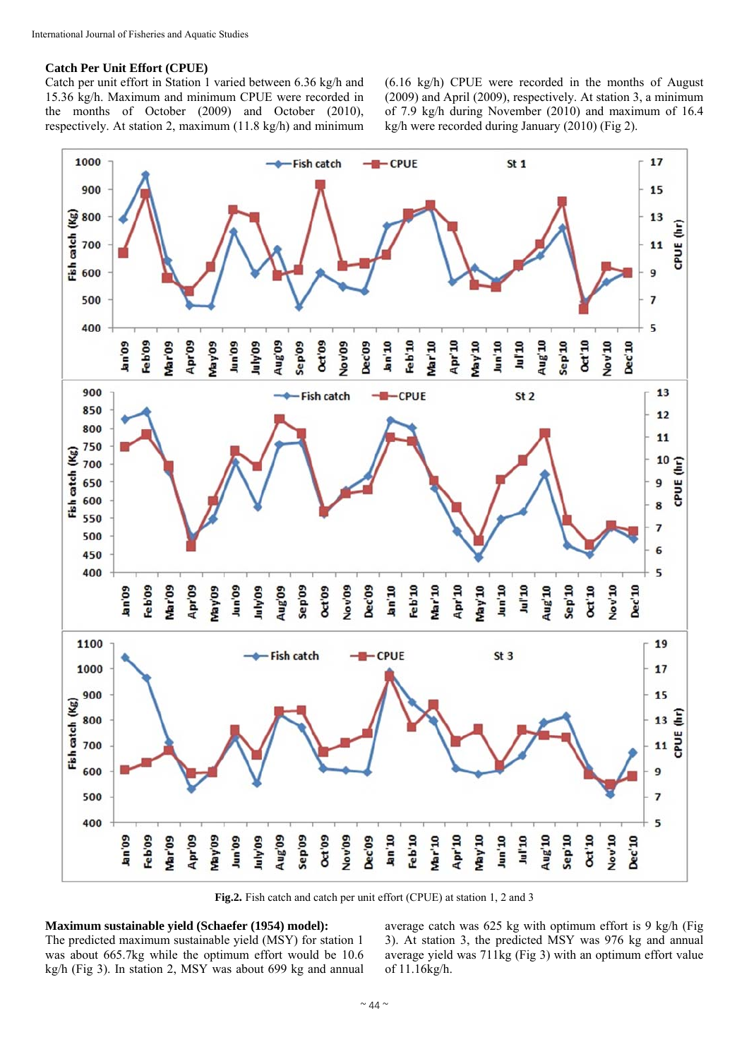## **Catch Per Unit Effort (CPUE)**

Catch per unit effort in Station 1 varied between 6.36 kg/h and 15.36 kg/h. Maximum and minimum CPUE were recorded in the months of October (2009) and October (2010), respectively. At station 2, maximum (11.8 kg/h) and minimum (6.16 kg/h) CPUE were recorded in the months of August (2009) and April (2009), respectively. At station 3, a minimum of 7.9 kg/h during November (2010) and maximum of 16.4 kg/h were recorded during January (2010) (Fig 2).



**Fig.2.** Fish catch and catch per unit effort (CPUE) at station 1, 2 and 3

## **Maximum sustainable yield (Schaefer (1954) model):**

The predicted maximum sustainable yield (MSY) for station 1 was about 665.7kg while the optimum effort would be 10.6 kg/h (Fig 3). In station 2, MSY was about 699 kg and annual average catch was 625 kg with optimum effort is 9 kg/h (Fig 3). At station 3, the predicted MSY was 976 kg and annual average yield was 711kg (Fig 3) with an optimum effort value of 11.16kg/h.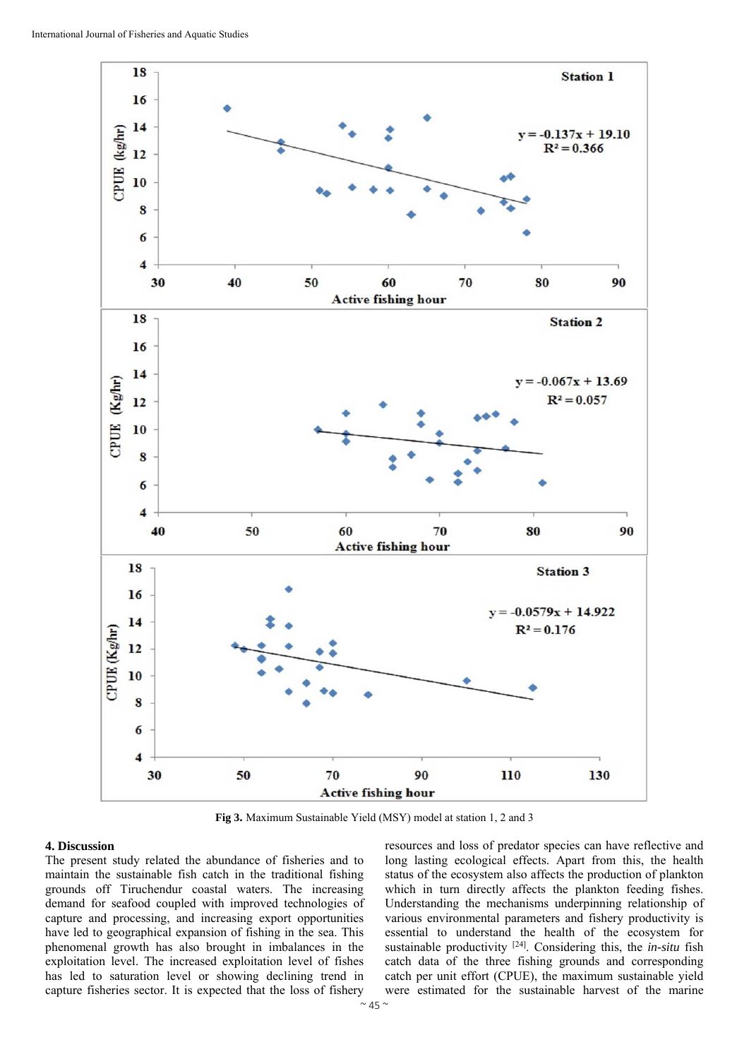

**Fig 3.** Maximum Sustainable Yield (MSY) model at station 1, 2 and 3

#### **4. Discussion**

The present study related the abundance of fisheries and to maintain the sustainable fish catch in the traditional fishing grounds off Tiruchendur coastal waters. The increasing demand for seafood coupled with improved technologies of capture and processing, and increasing export opportunities have led to geographical expansion of fishing in the sea. This phenomenal growth has also brought in imbalances in the exploitation level. The increased exploitation level of fishes has led to saturation level or showing declining trend in capture fisheries sector. It is expected that the loss of fishery

resources and loss of predator species can have reflective and long lasting ecological effects. Apart from this, the health status of the ecosystem also affects the production of plankton which in turn directly affects the plankton feeding fishes. Understanding the mechanisms underpinning relationship of various environmental parameters and fishery productivity is essential to understand the health of the ecosystem for sustainable productivity [24]. Considering this, the *in-situ* fish catch data of the three fishing grounds and corresponding catch per unit effort (CPUE), the maximum sustainable yield were estimated for the sustainable harvest of the marine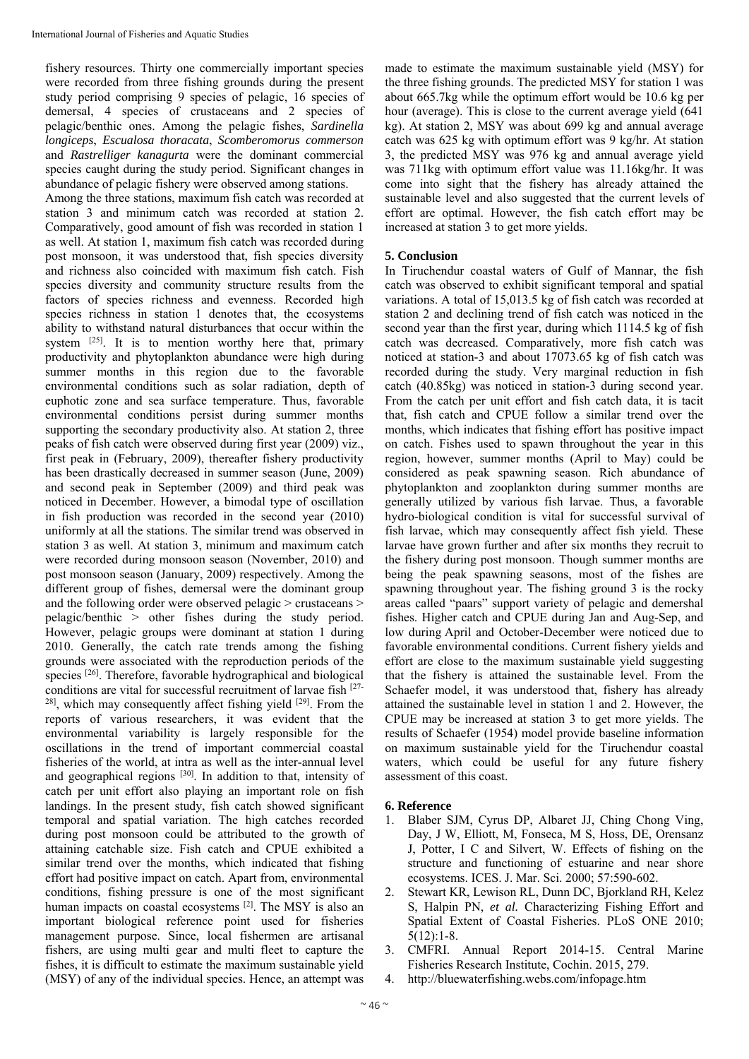fishery resources. Thirty one commercially important species were recorded from three fishing grounds during the present study period comprising 9 species of pelagic, 16 species of demersal, 4 species of crustaceans and 2 species of pelagic/benthic ones. Among the pelagic fishes, *Sardinella longiceps*, *Escualosa thoracata*, *Scomberomorus commerson* and *Rastrelliger kanagurta* were the dominant commercial species caught during the study period. Significant changes in abundance of pelagic fishery were observed among stations.

Among the three stations, maximum fish catch was recorded at station 3 and minimum catch was recorded at station 2. Comparatively, good amount of fish was recorded in station 1 as well. At station 1, maximum fish catch was recorded during post monsoon, it was understood that, fish species diversity and richness also coincided with maximum fish catch. Fish species diversity and community structure results from the factors of species richness and evenness. Recorded high species richness in station 1 denotes that, the ecosystems ability to withstand natural disturbances that occur within the system <sup>[25]</sup>. It is to mention worthy here that, primary productivity and phytoplankton abundance were high during summer months in this region due to the favorable environmental conditions such as solar radiation, depth of euphotic zone and sea surface temperature. Thus, favorable environmental conditions persist during summer months supporting the secondary productivity also. At station 2, three peaks of fish catch were observed during first year (2009) viz., first peak in (February, 2009), thereafter fishery productivity has been drastically decreased in summer season (June, 2009) and second peak in September (2009) and third peak was noticed in December. However, a bimodal type of oscillation in fish production was recorded in the second year (2010) uniformly at all the stations. The similar trend was observed in station 3 as well. At station 3, minimum and maximum catch were recorded during monsoon season (November, 2010) and post monsoon season (January, 2009) respectively. Among the different group of fishes, demersal were the dominant group and the following order were observed pelagic > crustaceans > pelagic/benthic > other fishes during the study period. However, pelagic groups were dominant at station 1 during 2010. Generally, the catch rate trends among the fishing grounds were associated with the reproduction periods of the species [26]. Therefore, favorable hydrographical and biological conditions are vital for successful recruitment of larvae fish [27-  $28$ ], which may consequently affect fishing yield  $[29]$ . From the reports of various researchers, it was evident that the environmental variability is largely responsible for the oscillations in the trend of important commercial coastal fisheries of the world, at intra as well as the inter-annual level and geographical regions [30]. In addition to that, intensity of catch per unit effort also playing an important role on fish landings. In the present study, fish catch showed significant temporal and spatial variation. The high catches recorded during post monsoon could be attributed to the growth of attaining catchable size. Fish catch and CPUE exhibited a similar trend over the months, which indicated that fishing effort had positive impact on catch. Apart from, environmental conditions, fishing pressure is one of the most significant human impacts on coastal ecosystems <sup>[2]</sup>. The MSY is also an important biological reference point used for fisheries management purpose. Since, local fishermen are artisanal fishers, are using multi gear and multi fleet to capture the fishes, it is difficult to estimate the maximum sustainable yield (MSY) of any of the individual species. Hence, an attempt was

made to estimate the maximum sustainable yield (MSY) for the three fishing grounds. The predicted MSY for station 1 was about 665.7kg while the optimum effort would be 10.6 kg per hour (average). This is close to the current average yield (641 kg). At station 2, MSY was about 699 kg and annual average catch was 625 kg with optimum effort was 9 kg/hr. At station 3, the predicted MSY was 976 kg and annual average yield was 711kg with optimum effort value was 11.16kg/hr. It was come into sight that the fishery has already attained the sustainable level and also suggested that the current levels of effort are optimal. However, the fish catch effort may be increased at station 3 to get more yields.

## **5. Conclusion**

In Tiruchendur coastal waters of Gulf of Mannar, the fish catch was observed to exhibit significant temporal and spatial variations. A total of 15,013.5 kg of fish catch was recorded at station 2 and declining trend of fish catch was noticed in the second year than the first year, during which 1114.5 kg of fish catch was decreased. Comparatively, more fish catch was noticed at station-3 and about 17073.65 kg of fish catch was recorded during the study. Very marginal reduction in fish catch (40.85kg) was noticed in station-3 during second year. From the catch per unit effort and fish catch data, it is tacit that, fish catch and CPUE follow a similar trend over the months, which indicates that fishing effort has positive impact on catch. Fishes used to spawn throughout the year in this region, however, summer months (April to May) could be considered as peak spawning season. Rich abundance of phytoplankton and zooplankton during summer months are generally utilized by various fish larvae. Thus, a favorable hydro-biological condition is vital for successful survival of fish larvae, which may consequently affect fish yield. These larvae have grown further and after six months they recruit to the fishery during post monsoon. Though summer months are being the peak spawning seasons, most of the fishes are spawning throughout year. The fishing ground 3 is the rocky areas called "paars" support variety of pelagic and demershal fishes. Higher catch and CPUE during Jan and Aug-Sep, and low during April and October-December were noticed due to favorable environmental conditions. Current fishery yields and effort are close to the maximum sustainable yield suggesting that the fishery is attained the sustainable level. From the Schaefer model, it was understood that, fishery has already attained the sustainable level in station 1 and 2. However, the CPUE may be increased at station 3 to get more yields. The results of Schaefer (1954) model provide baseline information on maximum sustainable yield for the Tiruchendur coastal waters, which could be useful for any future fishery assessment of this coast.

## **6. Reference**

- 1. Blaber SJM, Cyrus DP, Albaret JJ, Ching Chong Ving, Day, J W, Elliott, M, Fonseca, M S, Hoss, DE, Orensanz J, Potter, I C and Silvert, W. Effects of fishing on the structure and functioning of estuarine and near shore ecosystems. ICES. J. Mar. Sci. 2000; 57:590-602.
- 2. Stewart KR, Lewison RL, Dunn DC, Bjorkland RH, Kelez S, Halpin PN, *et al.* Characterizing Fishing Effort and Spatial Extent of Coastal Fisheries. PLoS ONE 2010; 5(12):1-8.
- 3. CMFRI. Annual Report 2014-15. Central Marine Fisheries Research Institute, Cochin. 2015, 279.
- 4. http://bluewaterfishing.webs.com/infopage.htm